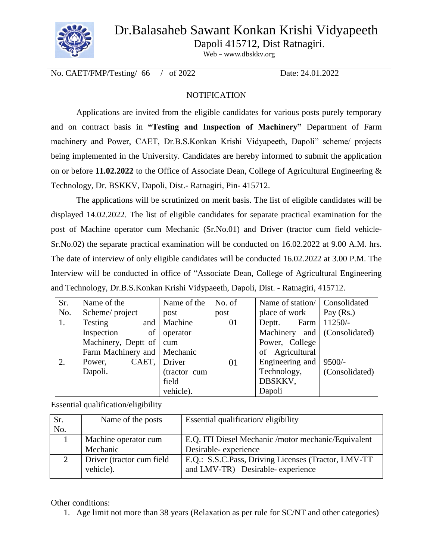## Dr.Balasaheb Sawant Konkan Krishi Vidyapeeth



Dapoli 415712, Dist Ratnagiri.

Web – www.dbskkv.org

No. CAET/FMP/Testing/ 66 / of 2022 Date: 24.01.2022

#### **NOTIFICATION**

Applications are invited from the eligible candidates for various posts purely temporary and on contract basis in **"Testing and Inspection of Machinery"** Department of Farm machinery and Power, CAET, Dr.B.S.Konkan Krishi Vidyapeeth, Dapoli" scheme/ projects being implemented in the University. Candidates are hereby informed to submit the application on or before **11.02.2022** to the Office of Associate Dean, College of Agricultural Engineering & Technology, Dr. BSKKV, Dapoli, Dist.- Ratnagiri, Pin- 415712.

The applications will be scrutinized on merit basis. The list of eligible candidates will be displayed 14.02.2022. The list of eligible candidates for separate practical examination for the post of Machine operator cum Mechanic (Sr.No.01) and Driver (tractor cum field vehicle-Sr.No.02) the separate practical examination will be conducted on 16.02.2022 at 9.00 A.M. hrs. The date of interview of only eligible candidates will be conducted 16.02.2022 at 3.00 P.M. The Interview will be conducted in office of "Associate Dean, College of Agricultural Engineering and Technology, Dr.B.S.Konkan Krishi Vidypaeeth, Dapoli, Dist. - Ratnagiri, 415712.

| Sr.            | Name of the                   | Name of the  | No. of | Name of station/             | Consolidated   |
|----------------|-------------------------------|--------------|--------|------------------------------|----------------|
| No.            | Scheme/project                | post         | post   | place of work                | Pay $(Rs.)$    |
| $\mathbf{1}$ . | <b>Testing</b><br>and         | Machine      | 01     | Farm<br>Deptt.               | $11250/-$      |
|                | Inspection<br>of              | operator     |        | Machinery and (Consolidated) |                |
|                | Machinery, Deptt of   cum     |              |        | Power, College               |                |
|                | Farm Machinery and   Mechanic |              |        | of Agricultural              |                |
| 2.             | CAET,<br>Power,               | Driver       | 01     | Engineering and              | $9500/-$       |
|                | Dapoli.                       | (tractor cum |        | Technology,                  | (Consolidated) |
|                |                               | field        |        | DBSKKV,                      |                |
|                |                               | vehicle).    |        | Dapoli                       |                |

Essential qualification/eligibility

| Sr. | Name of the posts         | Essential qualification/eligibility                  |
|-----|---------------------------|------------------------------------------------------|
| No. |                           |                                                      |
|     | Machine operator cum      | E.Q. ITI Diesel Mechanic / motor mechanic/Equivalent |
|     | Mechanic                  | Desirable-experience                                 |
|     | Driver (tractor cum field | E.Q.: S.S.C.Pass, Driving Licenses (Tractor, LMV-TT) |
|     | vehicle).                 | and LMV-TR) Desirable-experience                     |

Other conditions:

1. Age limit not more than 38 years (Relaxation as per rule for SC/NT and other categories)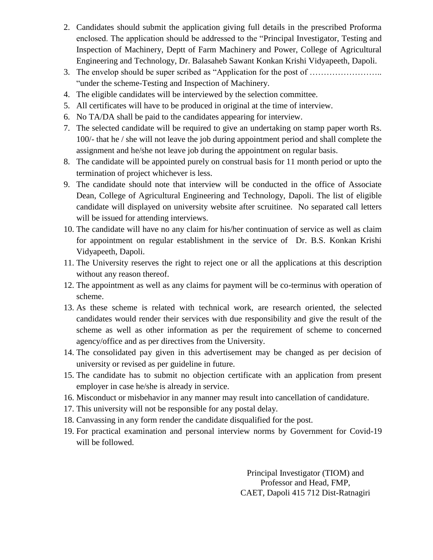- 2. Candidates should submit the application giving full details in the prescribed Proforma enclosed. The application should be addressed to the "Principal Investigator, Testing and Inspection of Machinery, Deptt of Farm Machinery and Power, College of Agricultural Engineering and Technology, Dr. Balasaheb Sawant Konkan Krishi Vidyapeeth, Dapoli.
- 3. The envelop should be super scribed as "Application for the post of …………………….. "under the scheme-Testing and Inspection of Machinery.
- 4. The eligible candidates will be interviewed by the selection committee.
- 5. All certificates will have to be produced in original at the time of interview.
- 6. No TA/DA shall be paid to the candidates appearing for interview.
- 7. The selected candidate will be required to give an undertaking on stamp paper worth Rs. 100/- that he / she will not leave the job during appointment period and shall complete the assignment and he/she not leave job during the appointment on regular basis.
- 8. The candidate will be appointed purely on construal basis for 11 month period or upto the termination of project whichever is less.
- 9. The candidate should note that interview will be conducted in the office of Associate Dean, College of Agricultural Engineering and Technology, Dapoli. The list of eligible candidate will displayed on university website after scruitinee. No separated call letters will be issued for attending interviews.
- 10. The candidate will have no any claim for his/her continuation of service as well as claim for appointment on regular establishment in the service of Dr. B.S. Konkan Krishi Vidyapeeth, Dapoli.
- 11. The University reserves the right to reject one or all the applications at this description without any reason thereof.
- 12. The appointment as well as any claims for payment will be co-terminus with operation of scheme.
- 13. As these scheme is related with technical work, are research oriented, the selected candidates would render their services with due responsibility and give the result of the scheme as well as other information as per the requirement of scheme to concerned agency/office and as per directives from the University.
- 14. The consolidated pay given in this advertisement may be changed as per decision of university or revised as per guideline in future.
- 15. The candidate has to submit no objection certificate with an application from present employer in case he/she is already in service.
- 16. Misconduct or misbehavior in any manner may result into cancellation of candidature.
- 17. This university will not be responsible for any postal delay.
- 18. Canvassing in any form render the candidate disqualified for the post.
- 19. For practical examination and personal interview norms by Government for Covid-19 will be followed.

Principal Investigator (TIOM) and Professor and Head, FMP, CAET, Dapoli 415 712 Dist-Ratnagiri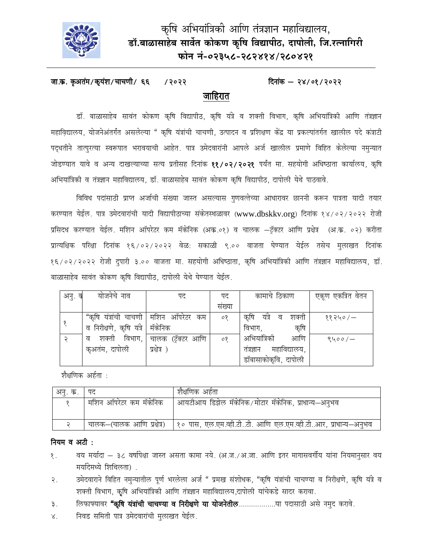

# कृषि अभियांत्रिकी आणि तंत्रज्ञान महाविद्यालय, डॉ.बाळासाहेब सार्वेत कोकण कृषि विद्यापीठ, दापोली, जि.रत्नागिरी फोन नं-०२३५८-२८२४१४/२८०४२१

#### जा.क. कृअतंम/कृयंश/चाचणी/ ६६ दिनांक  $-$  २४/०१/२०२२ /२०२२ जाहिरात

डॉ. बाळासाहेब सावंत कोकण कृषि विद्यापीठ, कृषि यंत्रे व शक्ती विभाग, कृषि अभियांत्रिकी आणि तंत्रज्ञान महाविद्यालय, योजनेअंतर्गत असलेल्या " कृषि यंत्रांची चाचणी, उत्पादन व प्रशिक्षण केंद्र या प्रकल्पांतर्गत खालील पदे कंत्राटी पदुधतीने तात्पुरत्या स्वरूपात भरावयाची आहेत. पात्र उमेदवारांनी आपले अर्ज खालील प्रमाणे विहित केलेल्या नमृन्यात जोडण्यात यावे व अन्य दाखल्याच्या सत्य प्रतीसह दिनांक ११/०२/२०२१ पर्यंत मा. सहयोगी अधिष्ठाता कार्यालय, कृषि अभियांत्रिकी व तंत्रज्ञान महाविद्यालय, डॉ. बाळासाहेब सावंत कोकण कृषि विद्यापीठ, दापोली येथे पाठवावे.

विविध पदांसाठी प्राप्त अर्जाची संख्या जास्त असल्यास गुणवत्तेच्या आधारावर छाननी करून पात्रता यादी तयार करण्यात येईल. पात्र उमेदवारांची यादी विद्यापीठाच्या संकेतस्थळावर (www.dbskkv.org) दिनांक १४/०२/२०२२ रोजी प्रसिदध करण्यात येईल. मशिन ऑपरेटर कम मॅकेनिक (अक्र.०१) व चालक –ट्रॅक्टर आणि प्रक्षेत्र (अ.क्र. ०२) करीता प्रात्यक्षिक परिक्षा दिनांक १६/०२/२०२२ वेळ: सकाळी ९.०० वाजता घेण्यात येईल तसेच मुलाखत दिनांक १६/०२/२०२२ रोजी दुपारी ३.०० वाजता मा. सहयोगी अधिष्ठाता, कृषि अभियांत्रिकी आणि तंत्रज्ञान महाविद्यालय, डॉ. बाळासाहेब सावंत कोकण कृषि विद्यापीठ, दापोली येथे घेण्यात येईल.

| अनु. व | योजनेचे नाव              | पद                 | पद       | कामाचे ठिकाण                 | एकूण एकत्रित वेतन |
|--------|--------------------------|--------------------|----------|------------------------------|-------------------|
|        |                          |                    | सख्या    |                              |                   |
|        | "कृषि यंत्रांची चाचणी    | मशिन ऑपरेटर<br>कम  | $\circ$  | कृषि<br>यंत्रे<br>ਕ<br>शक्ता | ११२५०/ $-$        |
|        | व निरीक्षणे, कृषि यंत्रे | मॅकेनिक            |          | कृषि<br>विभाग,               |                   |
|        | विभाग,<br>शक्ती<br>ਕ     | चालक (ट्रॅक्टर आणि | $\delta$ | अभियांत्रिकी<br>आणि          | ९५००/ $-$         |
|        | कृअतंम, दापोली           | प्रक्षेत्र )       |          | महाविद्यालय,<br>तत्रज्ञान    |                   |
|        |                          |                    |          | डॉबासाकोकृवि, दापोली         |                   |

शैक्षणिक अर्हता :

| अनु. क्र.   पद |                        | शैक्षणिक अर्हता                                                                            |
|----------------|------------------------|--------------------------------------------------------------------------------------------|
|                | मशिन ऑपरेटर कम मॅकेनिक | आयटीआय डिझेल मॅकेनिक/मोटार मॅकेनिक, प्राधान्य-अनुभव                                        |
|                |                        | चालक—(चालक आणि प्रक्षेत्र)   १० पास, एल.एम.व्ही.टीटी. आणि एल.एम.व्ही.टीआर, प्राधान्य—अनुभव |

### नियम व अटी :

- वय मर्यादा ३८ वर्षापेक्षा जास्त असता कामा नये. (अ.ज./अ.जा. आणि इतर मागासवर्गीय यांना नियमानुसार वय  $\mathcal{S}$ . मर्यादेमध्ये शिथिलता).
- उमेदवाराने विहित नमुन्यातील पूर्ण भरलेला अर्ज " प्रमख संशोधक, "कृषि यंत्रांची चाचण्या व निरीक्षणे, कृषि यंत्रे व २. शक्ती विभाग, कृषि अभियांत्रिकी आणि तंत्रज्ञान महाविद्यालय,दापोली यांचेकडे सादर करावा.
- लिफाफ्यावर "कृषि यंत्रांची चाचण्या व निरीक्षणे या योजनेतील.....................या पदासाठी असे नमुद करावे. ३.
- निवड समिती पात्र उमेदवारांची मुलाखत घेईल.  $\lambda^{\cdot}$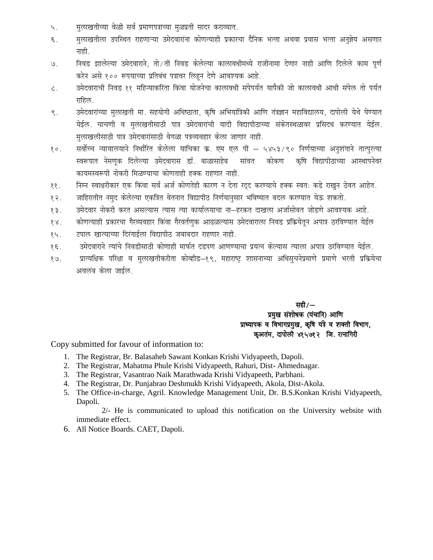- मूलाखतीच्या वेळी सर्व प्रमाणपत्राच्या मूळप्रती सादर कराव्यात. 4.
- मुलाखतीला उपस्थित राहणाऱ्या उमेदवारांना कोणत्याही प्रकारचा दैनिक भत्ता अथवा प्रवास भत्ता अनुज्ञेय असणार  $\xi$ . नाही.
- निवड झालेल्या उमेदवाराने, तो/ती निवड केलेल्या कालावधीमध्ये राजीनामा देणार नाही आणि दिलेले काम पूर्ण  $9.$ करेन असे १०० रूपयाच्या प्रतिबंध पत्रावर लिहन देणे आवश्यक आहे.
- उमेदवाराची निवड ११ महिन्याकरिता किंवा योजनेचा कालावधी संपेपर्यत यापैकी जो कालावधी आधी संपेल तो पर्यत  $\zeta$  . राहिल.
- उमेदवारांच्या मुलाखती मा. सहयोगी अधिष्ठाता, कृषि अभियांत्रिकी आणि तंत्रज्ञान महाविद्यालय, दापोली येथे घेण्यात  $\zeta$ . येईल. चाचणी व मुलाखतीसाठी पात्र उमेदवारांची यादी विद्यापीठाच्या संकेतस्थळावर प्रसिदध करण्यात येईल. मुलाखलीसाठी पात्र उमेदवारांसाठी वेगळा पत्रव्यवहार केला जाणार नाही.
- सर्वोच्च न्यायालयाने निर्धारित केलेला याचिका क्र. एम एल पी ५४५३/९० निर्णयाच्या अनुशंगाने तात्पुरत्या  $20.$ .<br>स्वरूपात नेमणक दिलेल्या उमेदवारास डॉ. बाळासाहेब सांवत कोकण कृषि विद्यापीठाच्या आस्थापनेवर कायमस्वरूपी नोकरी मिळण्याचा कोणताही हक्क राहणार नाही.
- निम्न स्वाक्षरीकार एक किंवा सर्व अर्ज कोणतेही कारण न देता रदद करण्याचे हक्क स्वत: कडे राखुन ठेवत आहेत.  $\sqrt{3}$
- जाहिरातीत नमुद केलेल्या एकत्रित वेतनात विद्यापीठ निर्णयानुसार भविष्यात बदल करण्यात येऊ शकतो. १२ $.$
- उमेदवार नोकरी करत असल्यास त्यास त्या कार्यालयाचा ना—हरकत दाखला अर्जासोबत जोडणे आवश्यक आहे.  $59.$
- कोणत्याही प्रकारचा गैरव्यवहार किंवा गैरवर्तणुक आढळल्यास उमेदवाराला निवड प्रक्रियेतून अपात्र ठरविण्यात येईल  $88.$
- टपाल खात्याच्या दिरंगाईला विद्यापीठ जबाबदार राहणार नाही. १५.
- उमेदवाराने त्यांचे निवडीसाठी कोणाही मार्फत दृडपण आणण्याचा प्रयत्न केल्यास त्याला अपात्र ठरविण्यात येईल.  $39$
- प्रात्यक्षिक परिक्षा व मूलाखतीकरीता कोव्हीड–१९, महाराष्ट्र शासनाच्या अधिसूचनेप्रमाणे प्रमाणे भरती प्रक्रियेचा  $9.8$ अवलंब केला जाईल.

सही $/$ — प्रमुख संशोधक (यंचानि) आणि प्राध्यापक व विभागप्रमुख, कृषि यंत्रे व शक्ती विभाग, कुअतंम, दापोली ४१५७१२ जि. रत्नागिरी

Copy submitted for favour of information to:

- 1. The Registrar, Br. Balasaheb Sawant Konkan Krishi Vidyapeeth, Dapoli.
- 2. The Registrar, Mahatma Phule Krishi Vidyapeeth, Rahuri, Dist-Ahmednagar.
- 3. The Registrar, Vasantrao Naik Marathwada Krishi Vidyapeeth, Parbhani.
- 4. The Registrar, Dr. Punjabrao Deshmukh Krishi Vidyapeeth, Akola, Dist-Akola.
- 5. The Office-in-charge, Agril. Knowledge Management Unit, Dr. B.S.Konkan Krishi Vidyapeeth, Dapoli.

2/- He is communicated to upload this notification on the University website with immediate effect.

6. All Notice Boards. CAET, Dapoli.